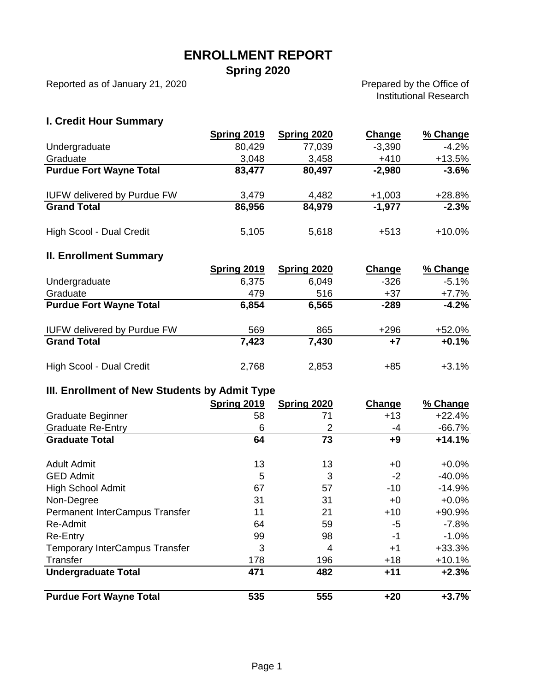### **ENROLLMENT REPORT**

**Spring 2020**

Reported as of January 21, 2020

Prepared by the Office of Institutional Research

#### **I. Credit Hour Summary**

|                                    | Spring 2019 | Spring 2020 | Change   | % Change |
|------------------------------------|-------------|-------------|----------|----------|
| Undergraduate                      | 80,429      | 77,039      | $-3,390$ | $-4.2%$  |
| Graduate                           | 3,048       | 3,458       | $+410$   | $+13.5%$ |
| <b>Purdue Fort Wayne Total</b>     | 83,477      | 80,497      | $-2,980$ | $-3.6%$  |
| <b>IUFW delivered by Purdue FW</b> | 3,479       | 4,482       | $+1,003$ | $+28.8%$ |
| <b>Grand Total</b>                 | 86,956      | 84,979      | $-1,977$ | $-2.3%$  |
| High Scool - Dual Credit           | 5,105       | 5,618       | $+513$   | $+10.0%$ |
| <b>II. Enrollment Summary</b>      |             |             |          |          |
|                                    | Spring 2019 | Spring 2020 | Change   | % Change |
| Undergraduate                      | 6,375       | 6,049       | $-326$   | $-5.1%$  |
| Graduate                           | 479         | 516         | $+37$    | $+7.7%$  |
| <b>Purdue Fort Wayne Total</b>     | 6,854       | 6,565       | $-289$   | $-4.2%$  |

| <b>Grand Total</b>       | 7,423 | 7,430 | $+7$ | $+0.1%$ |
|--------------------------|-------|-------|------|---------|
| High Scool - Dual Credit | 2,768 | 2,853 | +85  | $+3.1%$ |

IUFW delivered by Purdue FW 569 865 +296 +52.0%

#### **III. Enrollment of New Students by Admit Type**

|                                       | <b>Spring 2019</b> | Spring 2020 | Change | % Change  |
|---------------------------------------|--------------------|-------------|--------|-----------|
| <b>Graduate Beginner</b>              | 58                 | 71          | $+13$  | $+22.4%$  |
| <b>Graduate Re-Entry</b>              | 6                  | 2           | -4     | $-66.7\%$ |
| <b>Graduate Total</b>                 | 64                 | 73          | $+9$   | $+14.1%$  |
|                                       |                    |             |        |           |
| <b>Adult Admit</b>                    | 13                 | 13          | +0     | $+0.0%$   |
| <b>GED Admit</b>                      | 5                  | 3           | $-2$   | $-40.0%$  |
| <b>High School Admit</b>              | 67                 | 57          | $-10$  | $-14.9%$  |
| Non-Degree                            | 31                 | 31          | $+0$   | $+0.0%$   |
| Permanent InterCampus Transfer        | 11                 | 21          | $+10$  | +90.9%    |
| Re-Admit                              | 64                 | 59          | $-5$   | $-7.8%$   |
| Re-Entry                              | 99                 | 98          | $-1$   | $-1.0%$   |
| <b>Temporary InterCampus Transfer</b> | 3                  | 4           | $+1$   | $+33.3%$  |
| Transfer                              | 178                | 196         | $+18$  | $+10.1%$  |
| <b>Undergraduate Total</b>            | 471                | 482         | $+11$  | $+2.3%$   |
| <b>Purdue Fort Wayne Total</b>        | 535                | 555         | $+20$  | $+3.7%$   |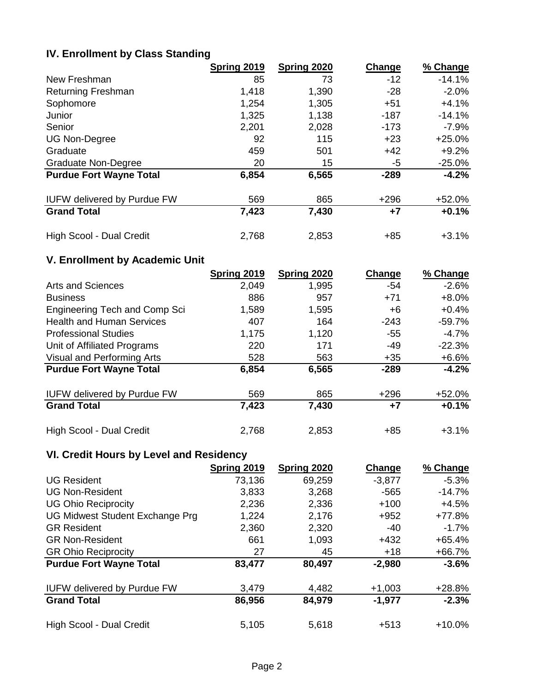# **IV. Enrollment by Class Standing**

|                                    | <b>Spring 2019</b> | Spring 2020 | Change | % Change  |
|------------------------------------|--------------------|-------------|--------|-----------|
| New Freshman                       | 85                 | 73          | $-12$  | $-14.1%$  |
| <b>Returning Freshman</b>          | 1,418              | 1,390       | $-28$  | $-2.0%$   |
| Sophomore                          | 1,254              | 1,305       | $+51$  | $+4.1%$   |
| Junior                             | 1,325              | 1,138       | $-187$ | $-14.1%$  |
| Senior                             | 2,201              | 2,028       | $-173$ | $-7.9%$   |
| <b>UG Non-Degree</b>               | 92                 | 115         | $+23$  | $+25.0%$  |
| Graduate                           | 459                | 501         | $+42$  | $+9.2%$   |
| <b>Graduate Non-Degree</b>         | 20                 | 15          | -5     | $-25.0\%$ |
| <b>Purdue Fort Wayne Total</b>     | 6,854              | 6,565       | $-289$ | $-4.2%$   |
| <b>IUFW delivered by Purdue FW</b> | 569                | 865         | $+296$ | $+52.0%$  |
| <b>Grand Total</b>                 | 7,423              | 7,430       | $+7$   | $+0.1%$   |
| High Scool - Dual Credit           | 2,768              | 2,853       | $+85$  | $+3.1%$   |

### **V. Enrollment by Academic Unit**

|                                      | <b>Spring 2019</b> | Spring 2020 | Change | % Change |
|--------------------------------------|--------------------|-------------|--------|----------|
| Arts and Sciences                    | 2,049              | 1,995       | $-54$  | $-2.6%$  |
| <b>Business</b>                      | 886                | 957         | $+71$  | $+8.0%$  |
| <b>Engineering Tech and Comp Sci</b> | 1,589              | 1,595       | +6     | $+0.4%$  |
| <b>Health and Human Services</b>     | 407                | 164         | $-243$ | $-59.7%$ |
| <b>Professional Studies</b>          | 1,175              | 1,120       | $-55$  | $-4.7%$  |
| Unit of Affiliated Programs          | 220                | 171         | -49    | $-22.3%$ |
| Visual and Performing Arts           | 528                | 563         | $+35$  | $+6.6%$  |
| <b>Purdue Fort Wayne Total</b>       | 6,854              | 6,565       | $-289$ | $-4.2%$  |
| <b>IUFW delivered by Purdue FW</b>   | 569                | 865         | $+296$ | $+52.0%$ |
| <b>Grand Total</b>                   | 7,423              | 7,430       | $+7$   | $+0.1%$  |
| High Scool - Dual Credit             | 2,768              | 2,853       | +85    | $+3.1%$  |

# **VI. Credit Hours by Level and Residency**

|                                    | Spring 2019 | Spring 2020 | Change   | % Change |
|------------------------------------|-------------|-------------|----------|----------|
| <b>UG Resident</b>                 | 73,136      | 69,259      | $-3,877$ | $-5.3%$  |
| <b>UG Non-Resident</b>             | 3,833       | 3,268       | $-565$   | $-14.7%$ |
| <b>UG Ohio Reciprocity</b>         | 2,236       | 2,336       | $+100$   | $+4.5%$  |
| UG Midwest Student Exchange Prg    | 1,224       | 2,176       | $+952$   | $+77.8%$ |
| <b>GR Resident</b>                 | 2,360       | 2,320       | -40      | $-1.7%$  |
| <b>GR Non-Resident</b>             | 661         | 1,093       | $+432$   | $+65.4%$ |
| <b>GR Ohio Reciprocity</b>         | 27          | 45          | $+18$    | $+66.7%$ |
| <b>Purdue Fort Wayne Total</b>     | 83,477      | 80,497      | $-2,980$ | $-3.6%$  |
| <b>IUFW delivered by Purdue FW</b> | 3,479       | 4,482       | $+1,003$ | $+28.8%$ |
| <b>Grand Total</b>                 | 86,956      | 84,979      | $-1,977$ | $-2.3%$  |
| High Scool - Dual Credit           | 5,105       | 5,618       | $+513$   | $+10.0%$ |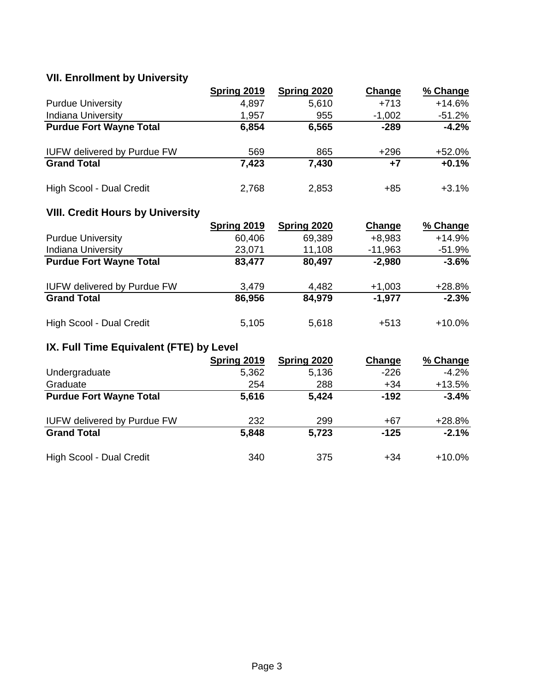# **VII. Enrollment by University**

|                                    | Spring 2019 | Spring 2020 | Change   | % Change |
|------------------------------------|-------------|-------------|----------|----------|
| <b>Purdue University</b>           | 4,897       | 5,610       | $+713$   | $+14.6%$ |
| <b>Indiana University</b>          | 1,957       | 955         | $-1,002$ | $-51.2%$ |
| <b>Purdue Fort Wayne Total</b>     | 6,854       | 6,565       | $-289$   | $-4.2%$  |
| <b>IUFW delivered by Purdue FW</b> | 569         | 865         | $+296$   | $+52.0%$ |
| <b>Grand Total</b>                 | 7,423       | 7,430       | $+7$     | $+0.1%$  |
| High Scool - Dual Credit           | 2,768       | 2,853       | +85      | $+3.1%$  |

# **VIII. Credit Hours by University**

|                                    | Spring 2019 | Spring 2020 | Change    | % Change  |
|------------------------------------|-------------|-------------|-----------|-----------|
| <b>Purdue University</b>           | 60,406      | 69,389      | $+8,983$  | $+14.9%$  |
| <b>Indiana University</b>          | 23,071      | 11,108      | $-11,963$ | $-51.9%$  |
| <b>Purdue Fort Wayne Total</b>     | 83,477      | 80,497      | $-2,980$  | $-3.6%$   |
| <b>IUFW delivered by Purdue FW</b> | 3,479       | 4,482       | $+1,003$  | $+28.8%$  |
| <b>Grand Total</b>                 | 86,956      | 84,979      | -1.977    | $-2.3%$   |
| High Scool - Dual Credit           | 5,105       | 5,618       | $+513$    | $+10.0\%$ |

# **IX. Full Time Equivalent (FTE) by Level**

|                                    | Spring 2019 | Spring 2020 | Change | % Change  |
|------------------------------------|-------------|-------------|--------|-----------|
| Undergraduate                      | 5,362       | 5,136       | $-226$ | $-4.2%$   |
| Graduate                           | 254         | 288         | $+34$  | $+13.5%$  |
| <b>Purdue Fort Wayne Total</b>     | 5,616       | 5,424       | $-192$ | $-3.4%$   |
| <b>IUFW delivered by Purdue FW</b> | 232         | 299         | +67    | $+28.8%$  |
| <b>Grand Total</b>                 | 5,848       | 5,723       | $-125$ | $-2.1%$   |
| High Scool - Dual Credit           | 340         | 375         | +34    | $+10.0\%$ |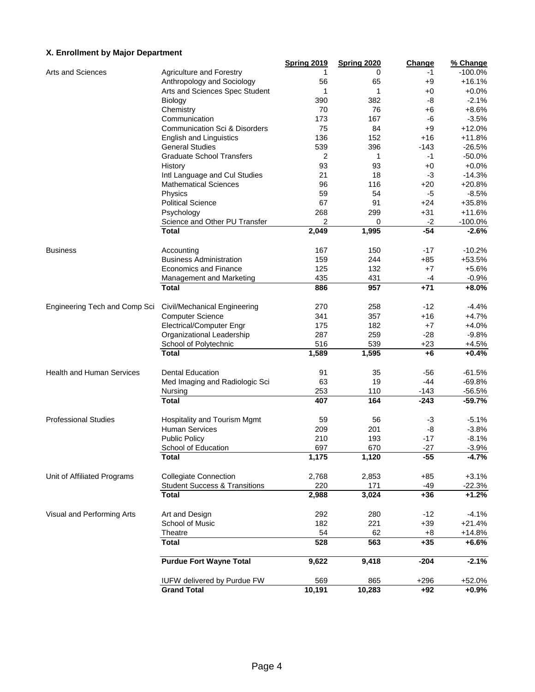#### **X. Enrollment by Major Department**

|                                  |                                          | <b>Spring 2019</b> | <b>Spring 2020</b> | <b>Change</b> | % Change  |
|----------------------------------|------------------------------------------|--------------------|--------------------|---------------|-----------|
| Arts and Sciences                | Agriculture and Forestry                 | 1                  | 0                  | -1            | $-100.0%$ |
|                                  | Anthropology and Sociology               | 56                 | 65                 | $+9$          | $+16.1%$  |
|                                  | Arts and Sciences Spec Student           | 1                  | 1                  | +0            | $+0.0%$   |
|                                  | Biology                                  | 390                | 382                | -8            | $-2.1%$   |
|                                  | Chemistry                                | 70                 | 76                 | +6            | $+8.6%$   |
|                                  | Communication                            | 173                | 167                | -6            | $-3.5%$   |
|                                  | <b>Communication Sci &amp; Disorders</b> | 75                 | 84                 | $+9$          | $+12.0%$  |
|                                  | <b>English and Linguistics</b>           | 136                | 152                | $+16$         | $+11.8%$  |
|                                  | <b>General Studies</b>                   | 539                | 396                | $-143$        | $-26.5%$  |
|                                  | <b>Graduate School Transfers</b>         | 2                  | 1                  | -1            | $-50.0%$  |
|                                  | History                                  | 93                 | 93                 | $+0$          | $+0.0%$   |
|                                  | Intl Language and Cul Studies            | 21                 | 18                 | -3            | $-14.3%$  |
|                                  | <b>Mathematical Sciences</b>             | 96                 | 116                | $+20$         | $+20.8%$  |
|                                  | Physics                                  | 59                 | 54                 | -5            | $-8.5%$   |
|                                  |                                          |                    |                    |               |           |
|                                  | <b>Political Science</b>                 | 67                 | 91                 | $+24$         | +35.8%    |
|                                  | Psychology                               | 268                | 299                | $+31$         | $+11.6%$  |
|                                  | Science and Other PU Transfer            | $\overline{2}$     | 0                  | $-2$          | $-100.0%$ |
|                                  | <b>Total</b>                             | 2,049              | 1,995              | $-54$         | $-2.6%$   |
| <b>Business</b>                  | Accounting                               | 167                | 150                | -17           | $-10.2%$  |
|                                  | <b>Business Administration</b>           | 159                | 244                | $+85$         | +53.5%    |
|                                  | <b>Economics and Finance</b>             | 125                | 132                | $+7$          | $+5.6%$   |
|                                  | Management and Marketing                 | 435                | 431                | -4            | $-0.9%$   |
|                                  | <b>Total</b>                             | 886                | 957                | $+71$         | $+8.0%$   |
|                                  |                                          |                    |                    |               |           |
| Engineering Tech and Comp Sci    | Civil/Mechanical Engineering             | 270                | 258                | $-12$         | $-4.4%$   |
|                                  | <b>Computer Science</b>                  | 341                | 357                | $+16$         | $+4.7%$   |
|                                  | Electrical/Computer Engr                 | 175                | 182                | +7            | $+4.0%$   |
|                                  | Organizational Leadership                | 287                | 259                | $-28$         | $-9.8%$   |
|                                  | School of Polytechnic                    | 516                | 539                | $+23$         | $+4.5%$   |
|                                  | <b>Total</b>                             | 1,589              | 1,595              | $+6$          | $+0.4%$   |
|                                  |                                          |                    |                    |               |           |
| <b>Health and Human Services</b> | <b>Dental Education</b>                  | 91                 | 35                 | $-56$         | $-61.5%$  |
|                                  | Med Imaging and Radiologic Sci           | 63                 | 19                 | $-44$         | $-69.8%$  |
|                                  | Nursing                                  | 253                | 110                | $-143$        | $-56.5%$  |
|                                  | <b>Total</b>                             | 407                | 164                | $-243$        | $-59.7%$  |
| <b>Professional Studies</b>      | Hospitality and Tourism Mgmt             | 59                 | 56                 | $-3$          | $-5.1%$   |
|                                  | <b>Human Services</b>                    | 209                | 201                | -8            | $-3.8%$   |
|                                  | <b>Public Policy</b>                     | 210                | 193                | -17           | $-8.1%$   |
|                                  | School of Education                      | 697                | 670                | $-27$         |           |
|                                  |                                          |                    |                    |               | $-3.9%$   |
|                                  | <b>Total</b>                             | 1,175              | 1,120              | $-55$         | $-4.7%$   |
| Unit of Affiliated Programs      | <b>Collegiate Connection</b>             | 2,768              | 2,853              | $+85$         | $+3.1%$   |
|                                  | <b>Student Success &amp; Transitions</b> | 220                | 171                | -49           | $-22.3%$  |
|                                  | <b>Total</b>                             | 2,988              | 3,024              | $+36$         | $+1.2%$   |
|                                  |                                          |                    |                    |               |           |
| Visual and Performing Arts       | Art and Design                           | 292                | 280                | $-12$         | $-4.1%$   |
|                                  | School of Music                          | 182                | 221                | $+39$         | $+21.4%$  |
|                                  | Theatre                                  | 54                 | 62                 | $+8$          | $+14.8%$  |
|                                  | <b>Total</b>                             | 528                | 563                | $+35$         | $+6.6%$   |
|                                  | <b>Purdue Fort Wayne Total</b>           | 9,622              | 9,418              | $-204$        | $-2.1%$   |
|                                  |                                          |                    |                    |               |           |
|                                  | IUFW delivered by Purdue FW              | 569                | 865                | +296          | +52.0%    |
|                                  | <b>Grand Total</b>                       | 10,191             | 10,283             | $+92$         | $+0.9%$   |